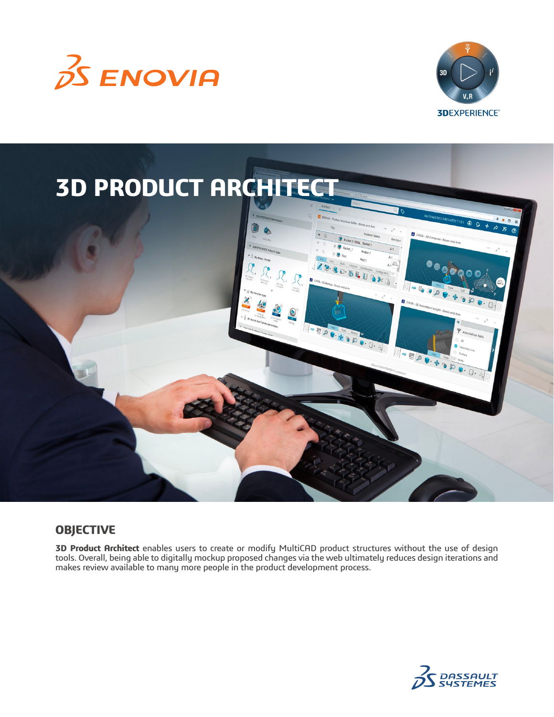





# **OBJECTIVE**

**3D Product Architect** enables users to create or modify MultiCAD product structures without the use of design tools. Overall, being able to digitally mockup proposed changes via the web ultimately reduces design iterations and makes review available to many more people in the product development process.